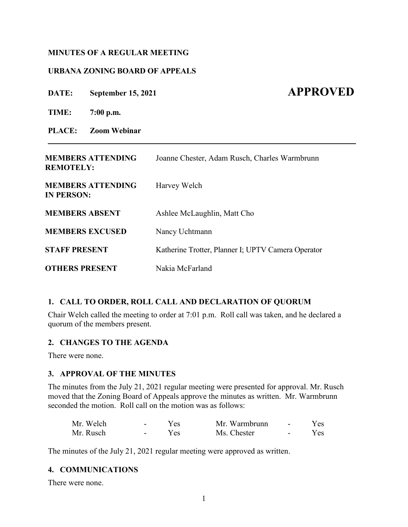## **MINUTES OF A REGULAR MEETING**

## **URBANA ZONING BOARD OF APPEALS**

**DATE:** September 15, 2021 **APPROVED** 

**TIME: 7:00 p.m.**

**PLACE: Zoom Webinar**

| <b>MEMBERS ATTENDING</b><br><b>REMOTELY:</b>  | Joanne Chester, Adam Rusch, Charles Warmbrunn      |
|-----------------------------------------------|----------------------------------------------------|
| <b>MEMBERS ATTENDING</b><br><b>IN PERSON:</b> | Harvey Welch                                       |
| <b>MEMBERS ABSENT</b>                         | Ashlee McLaughlin, Matt Cho                        |
| <b>MEMBERS EXCUSED</b>                        | Nancy Uchtmann                                     |
| <b>STAFF PRESENT</b>                          | Katherine Trotter, Planner I; UPTV Camera Operator |
| <b>OTHERS PRESENT</b>                         | Nakia McFarland                                    |

**\_\_\_\_\_\_\_\_\_\_\_\_\_\_\_\_\_\_\_\_\_\_\_\_\_\_\_\_\_\_\_\_\_\_\_\_\_\_\_\_\_\_\_\_\_\_\_\_\_\_\_\_\_\_\_\_\_\_\_\_\_\_\_\_\_\_\_\_\_\_\_\_\_\_\_\_\_\_\_**

# **1. CALL TO ORDER, ROLL CALL AND DECLARATION OF QUORUM**

Chair Welch called the meeting to order at 7:01 p.m. Roll call was taken, and he declared a quorum of the members present.

# **2. CHANGES TO THE AGENDA**

There were none.

# **3. APPROVAL OF THE MINUTES**

The minutes from the July 21, 2021 regular meeting were presented for approval. Mr. Rusch moved that the Zoning Board of Appeals approve the minutes as written. Mr. Warmbrunn seconded the motion. Roll call on the motion was as follows:

| Mr. Welch | $\sim$ | Yes. | Mr. Warmbrunn | $\sim$ | Yes. |
|-----------|--------|------|---------------|--------|------|
| Mr. Rusch |        | Yes. | Ms. Chester   | $\sim$ | Yes. |

The minutes of the July 21, 2021 regular meeting were approved as written.

### **4. COMMUNICATIONS**

There were none.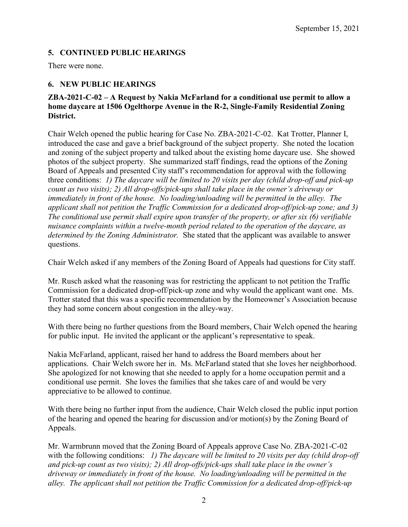# **5. CONTINUED PUBLIC HEARINGS**

There were none.

# **6. NEW PUBLIC HEARINGS**

# **ZBA-2021-C-02 – A Request by Nakia McFarland for a conditional use permit to allow a home daycare at 1506 Ogelthorpe Avenue in the R-2, Single-Family Residential Zoning District.**

Chair Welch opened the public hearing for Case No. ZBA-2021-C-02. Kat Trotter, Planner I, introduced the case and gave a brief background of the subject property. She noted the location and zoning of the subject property and talked about the existing home daycare use. She showed photos of the subject property. She summarized staff findings, read the options of the Zoning Board of Appeals and presented City staff's recommendation for approval with the following three conditions: *1) The daycare will be limited to 20 visits per day (child drop-off and pick-up count as two visits); 2) All drop-offs/pick-ups shall take place in the owner's driveway or immediately in front of the house. No loading/unloading will be permitted in the alley. The applicant shall not petition the Traffic Commission for a dedicated drop-off/pick-up zone; and 3) The conditional use permit shall expire upon transfer of the property, or after six (6) verifiable nuisance complaints within a twelve-month period related to the operation of the daycare, as determined by the Zoning Administrator.* She stated that the applicant was available to answer questions.

Chair Welch asked if any members of the Zoning Board of Appeals had questions for City staff.

Mr. Rusch asked what the reasoning was for restricting the applicant to not petition the Traffic Commission for a dedicated drop-off/pick-up zone and why would the applicant want one. Ms. Trotter stated that this was a specific recommendation by the Homeowner's Association because they had some concern about congestion in the alley-way.

With there being no further questions from the Board members, Chair Welch opened the hearing for public input. He invited the applicant or the applicant's representative to speak.

Nakia McFarland, applicant, raised her hand to address the Board members about her applications. Chair Welch swore her in. Ms. McFarland stated that she loves her neighborhood. She apologized for not knowing that she needed to apply for a home occupation permit and a conditional use permit. She loves the families that she takes care of and would be very appreciative to be allowed to continue.

With there being no further input from the audience, Chair Welch closed the public input portion of the hearing and opened the hearing for discussion and/or motion(s) by the Zoning Board of Appeals.

Mr. Warmbrunn moved that the Zoning Board of Appeals approve Case No. ZBA-2021-C-02 with the following conditions: *1) The daycare will be limited to 20 visits per day (child drop-off and pick-up count as two visits); 2) All drop-offs/pick-ups shall take place in the owner's driveway or immediately in front of the house. No loading/unloading will be permitted in the alley. The applicant shall not petition the Traffic Commission for a dedicated drop-off/pick-up*